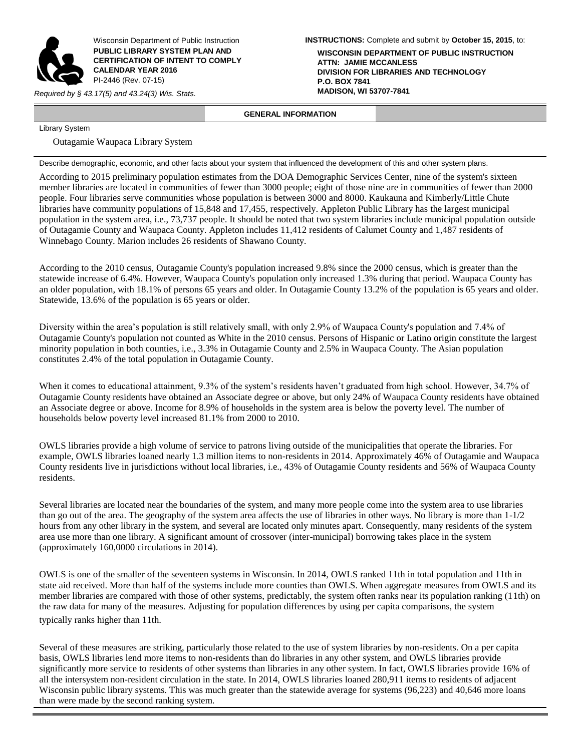

Wisconsin Department of Public Instruction **PUBLIC LIBRARY SYSTEM PLAN AND CERTIFICATION OF INTENT TO COMPLY CALENDAR YEAR 2016** PI-2446 (Rev. 07-15)

*Required by § 43.17(5) and 43.24(3) Wis. Stats.* 

**INSTRUCTIONS:** Complete and submit by **October 15, 2015**, to:

**WISCONSIN DEPARTMENT OF PUBLIC INSTRUCTION ATTN: JAMIE MCCANLESS DIVISION FOR LIBRARIES AND TECHNOLOGY P.O. BOX 7841**

# **GENERAL INFORMATION**

Library System

Outagamie Waupaca Library System

Describe demographic, economic, and other facts about your system that influenced the development of this and other system plans.

According to 2015 preliminary population estimates from the DOA Demographic Services Center, nine of the system's sixteen member libraries are located in communities of fewer than 3000 people; eight of those nine are in communities of fewer than 2000 people. Four libraries serve communities whose population is between 3000 and 8000. Kaukauna and Kimberly/Little Chute libraries have community populations of 15,848 and 17,455, respectively. Appleton Public Library has the largest municipal population in the system area, i.e., 73,737 people. It should be noted that two system libraries include municipal population outside of Outagamie County and Waupaca County. Appleton includes 11,412 residents of Calumet County and 1,487 residents of Winnebago County. Marion includes 26 residents of Shawano County.

According to the 2010 census, Outagamie County's population increased 9.8% since the 2000 census, which is greater than the statewide increase of 6.4%. However, Waupaca County's population only increased 1.3% during that period. Waupaca County has an older population, with 18.1% of persons 65 years and older. In Outagamie County 13.2% of the population is 65 years and older. Statewide, 13.6% of the population is 65 years or older.

Diversity within the area's population is still relatively small, with only 2.9% of Waupaca County's population and 7.4% of Outagamie County's population not counted as White in the 2010 census. Persons of Hispanic or Latino origin constitute the largest minority population in both counties, i.e., 3.3% in Outagamie County and 2.5% in Waupaca County. The Asian population constitutes 2.4% of the total population in Outagamie County.

When it comes to educational attainment, 9.3% of the system's residents haven't graduated from high school. However, 34.7% of Outagamie County residents have obtained an Associate degree or above, but only 24% of Waupaca County residents have obtained an Associate degree or above. Income for 8.9% of households in the system area is below the poverty level. The number of households below poverty level increased 81.1% from 2000 to 2010.

OWLS libraries provide a high volume of service to patrons living outside of the municipalities that operate the libraries. For example, OWLS libraries loaned nearly 1.3 million items to non-residents in 2014. Approximately 46% of Outagamie and Waupaca County residents live in jurisdictions without local libraries, i.e., 43% of Outagamie County residents and 56% of Waupaca County residents.

Several libraries are located near the boundaries of the system, and many more people come into the system area to use libraries than go out of the area. The geography of the system area affects the use of libraries in other ways. No library is more than 1-1/2 hours from any other library in the system, and several are located only minutes apart. Consequently, many residents of the system area use more than one library. A significant amount of crossover (inter-municipal) borrowing takes place in the system (approximately 160,0000 circulations in 2014).

OWLS is one of the smaller of the seventeen systems in Wisconsin. In 2014, OWLS ranked 11th in total population and 11th in state aid received. More than half of the systems include more counties than OWLS. When aggregate measures from OWLS and its member libraries are compared with those of other systems, predictably, the system often ranks near its population ranking (11th) on the raw data for many of the measures. Adjusting for population differences by using per capita comparisons, the system typically ranks higher than 11th.

Several of these measures are striking, particularly those related to the use of system libraries by non-residents. On a per capita basis, OWLS libraries lend more items to non-residents than do libraries in any other system, and OWLS libraries provide significantly more service to residents of other systems than libraries in any other system. In fact, OWLS libraries provide 16% of all the intersystem non-resident circulation in the state. In 2014, OWLS libraries loaned 280,911 items to residents of adjacent Wisconsin public library systems. This was much greater than the statewide average for systems (96,223) and 40,646 more loans than were made by the second ranking system.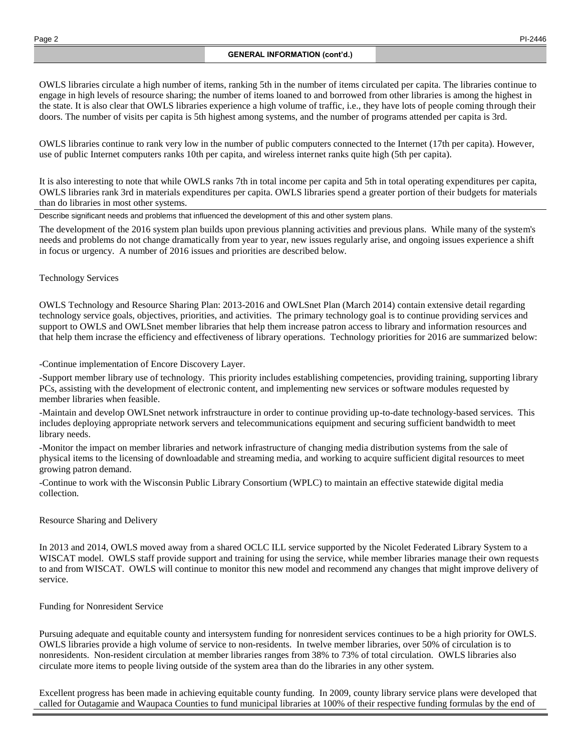OWLS libraries circulate a high number of items, ranking 5th in the number of items circulated per capita. The libraries continue to engage in high levels of resource sharing; the number of items loaned to and borrowed from other libraries is among the highest in the state. It is also clear that OWLS libraries experience a high volume of traffic, i.e., they have lots of people coming through their doors. The number of visits per capita is 5th highest among systems, and the number of programs attended per capita is 3rd.

OWLS libraries continue to rank very low in the number of public computers connected to the Internet (17th per capita). However, use of public Internet computers ranks 10th per capita, and wireless internet ranks quite high (5th per capita).

It is also interesting to note that while OWLS ranks 7th in total income per capita and 5th in total operating expenditures per capita, OWLS libraries rank 3rd in materials expenditures per capita. OWLS libraries spend a greater portion of their budgets for materials than do libraries in most other systems.

Describe significant needs and problems that influenced the development of this and other system plans.

The development of the 2016 system plan builds upon previous planning activities and previous plans. While many of the system's needs and problems do not change dramatically from year to year, new issues regularly arise, and ongoing issues experience a shift in focus or urgency. A number of 2016 issues and priorities are described below.

# Technology Services

OWLS Technology and Resource Sharing Plan: 2013-2016 and OWLSnet Plan (March 2014) contain extensive detail regarding technology service goals, objectives, priorities, and activities. The primary technology goal is to continue providing services and support to OWLS and OWLSnet member libraries that help them increase patron access to library and information resources and that help them incrase the efficiency and effectiveness of library operations. Technology priorities for 2016 are summarized below:

-Continue implementation of Encore Discovery Layer.

-Support member library use of technology. This priority includes establishing competencies, providing training, supporting library PCs, assisting with the development of electronic content, and implementing new services or software modules requested by member libraries when feasible.

-Maintain and develop OWLSnet network infrstraucture in order to continue providing up-to-date technology-based services. This includes deploying appropriate network servers and telecommunications equipment and securing sufficient bandwidth to meet library needs.

-Monitor the impact on member libraries and network infrastructure of changing media distribution systems from the sale of physical items to the licensing of downloadable and streaming media, and working to acquire sufficient digital resources to meet growing patron demand.

-Continue to work with the Wisconsin Public Library Consortium (WPLC) to maintain an effective statewide digital media collection.

# Resource Sharing and Delivery

In 2013 and 2014, OWLS moved away from a shared OCLC ILL service supported by the Nicolet Federated Library System to a WISCAT model. OWLS staff provide support and training for using the service, while member libraries manage their own requests to and from WISCAT. OWLS will continue to monitor this new model and recommend any changes that might improve delivery of service.

#### Funding for Nonresident Service

Pursuing adequate and equitable county and intersystem funding for nonresident services continues to be a high priority for OWLS. OWLS libraries provide a high volume of service to non-residents. In twelve member libraries, over 50% of circulation is to nonresidents. Non-resident circulation at member libraries ranges from 38% to 73% of total circulation. OWLS libraries also circulate more items to people living outside of the system area than do the libraries in any other system.

Excellent progress has been made in achieving equitable county funding. In 2009, county library service plans were developed that called for Outagamie and Waupaca Counties to fund municipal libraries at 100% of their respective funding formulas by the end of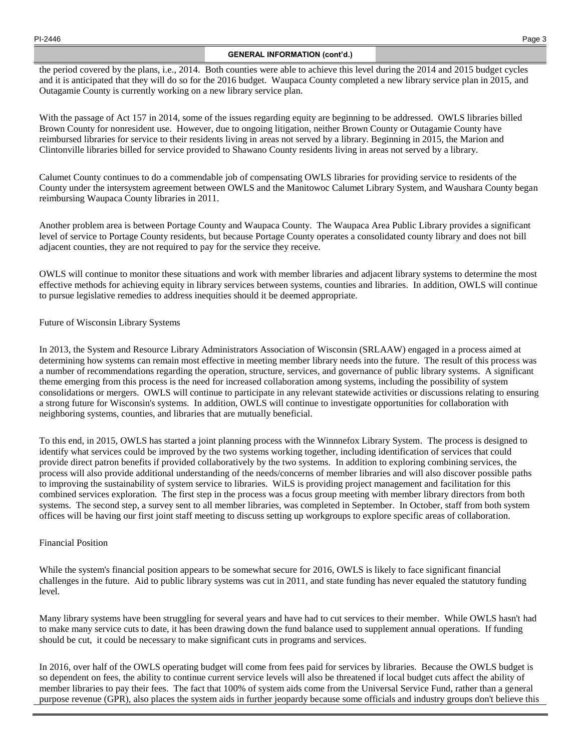# **GENERAL INFORMATION (cont'd.)**

the period covered by the plans, i.e., 2014. Both counties were able to achieve this level during the 2014 and 2015 budget cycles and it is anticipated that they will do so for the 2016 budget. Waupaca County completed a new library service plan in 2015, and Outagamie County is currently working on a new library service plan.

With the passage of Act 157 in 2014, some of the issues regarding equity are beginning to be addressed. OWLS libraries billed Brown County for nonresident use. However, due to ongoing litigation, neither Brown County or Outagamie County have reimbursed libraries for service to their residents living in areas not served by a library. Beginning in 2015, the Marion and Clintonville libraries billed for service provided to Shawano County residents living in areas not served by a library.

Calumet County continues to do a commendable job of compensating OWLS libraries for providing service to residents of the County under the intersystem agreement between OWLS and the Manitowoc Calumet Library System, and Waushara County began reimbursing Waupaca County libraries in 2011.

Another problem area is between Portage County and Waupaca County. The Waupaca Area Public Library provides a significant level of service to Portage County residents, but because Portage County operates a consolidated county library and does not bill adjacent counties, they are not required to pay for the service they receive.

OWLS will continue to monitor these situations and work with member libraries and adjacent library systems to determine the most effective methods for achieving equity in library services between systems, counties and libraries. In addition, OWLS will continue to pursue legislative remedies to address inequities should it be deemed appropriate.

# Future of Wisconsin Library Systems

In 2013, the System and Resource Library Administrators Association of Wisconsin (SRLAAW) engaged in a process aimed at determining how systems can remain most effective in meeting member library needs into the future. The result of this process was a number of recommendations regarding the operation, structure, services, and governance of public library systems. A significant theme emerging from this process is the need for increased collaboration among systems, including the possibility of system consolidations or mergers. OWLS will continue to participate in any relevant statewide activities or discussions relating to ensuring a strong future for Wisconsin's systems. In addition, OWLS will continue to investigate opportunities for collaboration with neighboring systems, counties, and libraries that are mutually beneficial.

To this end, in 2015, OWLS has started a joint planning process with the Winnnefox Library System. The process is designed to identify what services could be improved by the two systems working together, including identification of services that could provide direct patron benefits if provided collaboratively by the two systems. In addition to exploring combining services, the process will also provide additional understanding of the needs/concerns of member libraries and will also discover possible paths to improving the sustainability of system service to libraries. WiLS is providing project management and facilitation for this combined services exploration. The first step in the process was a focus group meeting with member library directors from both systems. The second step, a survey sent to all member libraries, was completed in September. In October, staff from both system offices will be having our first joint staff meeting to discuss setting up workgroups to explore specific areas of collaboration.

# Financial Position

While the system's financial position appears to be somewhat secure for 2016, OWLS is likely to face significant financial challenges in the future. Aid to public library systems was cut in 2011, and state funding has never equaled the statutory funding level.

Many library systems have been struggling for several years and have had to cut services to their member. While OWLS hasn't had to make many service cuts to date, it has been drawing down the fund balance used to supplement annual operations. If funding should be cut, it could be necessary to make significant cuts in programs and services.

In 2016, over half of the OWLS operating budget will come from fees paid for services by libraries. Because the OWLS budget is so dependent on fees, the ability to continue current service levels will also be threatened if local budget cuts affect the ability of member libraries to pay their fees. The fact that 100% of system aids come from the Universal Service Fund, rather than a general purpose revenue (GPR), also places the system aids in further jeopardy because some officials and industry groups don't believe this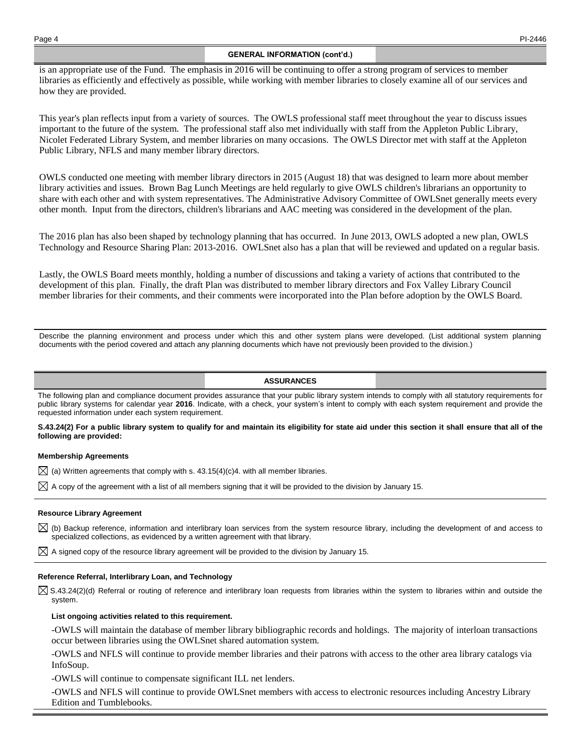# **GENERAL INFORMATION (cont'd.)**

is an appropriate use of the Fund. The emphasis in 2016 will be continuing to offer a strong program of services to member libraries as efficiently and effectively as possible, while working with member libraries to closely examine all of our services and how they are provided.

This year's plan reflects input from a variety of sources. The OWLS professional staff meet throughout the year to discuss issues important to the future of the system. The professional staff also met individually with staff from the Appleton Public Library, Nicolet Federated Library System, and member libraries on many occasions. The OWLS Director met with staff at the Appleton Public Library, NFLS and many member library directors.

OWLS conducted one meeting with member library directors in 2015 (August 18) that was designed to learn more about member library activities and issues. Brown Bag Lunch Meetings are held regularly to give OWLS children's librarians an opportunity to share with each other and with system representatives. The Administrative Advisory Committee of OWLSnet generally meets every other month. Input from the directors, children's librarians and AAC meeting was considered in the development of the plan.

The 2016 plan has also been shaped by technology planning that has occurred. In June 2013, OWLS adopted a new plan, OWLS Technology and Resource Sharing Plan: 2013-2016. OWLSnet also has a plan that will be reviewed and updated on a regular basis.

Lastly, the OWLS Board meets monthly, holding a number of discussions and taking a variety of actions that contributed to the development of this plan. Finally, the draft Plan was distributed to member library directors and Fox Valley Library Council member libraries for their comments, and their comments were incorporated into the Plan before adoption by the OWLS Board.

Describe the planning environment and process under which this and other system plans were developed. (List additional system planning documents with the period covered and attach any planning documents which have not previously been provided to the division.)

#### **ASSURANCES**

The following plan and compliance document provides assurance that your public library system intends to comply with all statutory requirements for public library systems for calendar year **2016**. Indicate, with a check, your system's intent to comply with each system requirement and provide the requested information under each system requirement.

#### **S.43.24(2) For a public library system to qualify for and maintain its eligibility for state aid under this section it shall ensure that all of the following are provided:**

#### **Membership Agreements**

 $\boxtimes$  (a) Written agreements that comply with s. 43.15(4)(c)4. with all member libraries.

 $\boxtimes$  A copy of the agreement with a list of all members signing that it will be provided to the division by January 15.

#### **Resource Library Agreement**

 $\boxtimes$  (b) Backup reference, information and interlibrary loan services from the system resource library, including the development of and access to specialized collections, as evidenced by a written agreement with that library.

 $\boxtimes$  A signed copy of the resource library agreement will be provided to the division by January 15.

#### **Reference Referral, Interlibrary Loan, and Technology**

 $\boxtimes$  S.43.24(2)(d) Referral or routing of reference and interlibrary loan requests from libraries within the system to libraries within and outside the system.

**List ongoing activities related to this requirement.**

-OWLS will maintain the database of member library bibliographic records and holdings. The majority of interloan transactions occur between libraries using the OWLSnet shared automation system.

-OWLS and NFLS will continue to provide member libraries and their patrons with access to the other area library catalogs via InfoSoup.

-OWLS will continue to compensate significant ILL net lenders.

-OWLS and NFLS will continue to provide OWLSnet members with access to electronic resources including Ancestry Library Edition and Tumblebooks.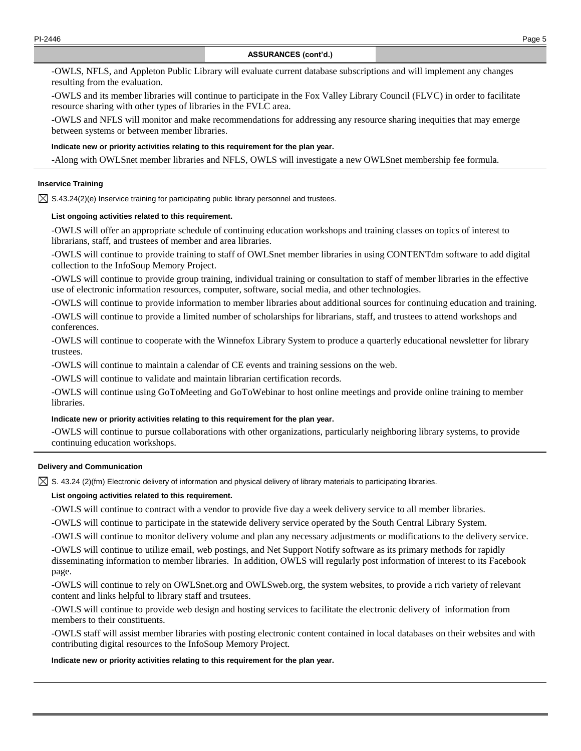-OWLS, NFLS, and Appleton Public Library will evaluate current database subscriptions and will implement any changes resulting from the evaluation.

-OWLS and its member libraries will continue to participate in the Fox Valley Library Council (FLVC) in order to facilitate resource sharing with other types of libraries in the FVLC area.

-OWLS and NFLS will monitor and make recommendations for addressing any resource sharing inequities that may emerge between systems or between member libraries.

#### **Indicate new or priority activities relating to this requirement for the plan year.**

-Along with OWLSnet member libraries and NFLS, OWLS will investigate a new OWLSnet membership fee formula.

# **Inservice Training**

 $\boxtimes$  S.43.24(2)(e) Inservice training for participating public library personnel and trustees.

# **List ongoing activities related to this requirement.**

-OWLS will offer an appropriate schedule of continuing education workshops and training classes on topics of interest to librarians, staff, and trustees of member and area libraries.

-OWLS will continue to provide training to staff of OWLSnet member libraries in using CONTENTdm software to add digital collection to the InfoSoup Memory Project.

-OWLS will continue to provide group training, individual training or consultation to staff of member libraries in the effective use of electronic information resources, computer, software, social media, and other technologies.

-OWLS will continue to provide information to member libraries about additional sources for continuing education and training.

-OWLS will continue to provide a limited number of scholarships for librarians, staff, and trustees to attend workshops and conferences.

-OWLS will continue to cooperate with the Winnefox Library System to produce a quarterly educational newsletter for library trustees.

-OWLS will continue to maintain a calendar of CE events and training sessions on the web.

-OWLS will continue to validate and maintain librarian certification records.

-OWLS will continue using GoToMeeting and GoToWebinar to host online meetings and provide online training to member libraries.

#### **Indicate new or priority activities relating to this requirement for the plan year.**

-OWLS will continue to pursue collaborations with other organizations, particularly neighboring library systems, to provide continuing education workshops.

#### **Delivery and Communication**

 $\boxtimes$  S. 43.24 (2)(fm) Electronic delivery of information and physical delivery of library materials to participating libraries.

# **List ongoing activities related to this requirement.**

-OWLS will continue to contract with a vendor to provide five day a week delivery service to all member libraries.

-OWLS will continue to participate in the statewide delivery service operated by the South Central Library System.

-OWLS will continue to monitor delivery volume and plan any necessary adjustments or modifications to the delivery service.

-OWLS will continue to utilize email, web postings, and Net Support Notify software as its primary methods for rapidly disseminating information to member libraries. In addition, OWLS will regularly post information of interest to its Facebook page.

-OWLS will continue to rely on OWLSnet.org and OWLSweb.org, the system websites, to provide a rich variety of relevant content and links helpful to library staff and trsutees.

-OWLS will continue to provide web design and hosting services to facilitate the electronic delivery of information from members to their constituents.

-OWLS staff will assist member libraries with posting electronic content contained in local databases on their websites and with contributing digital resources to the InfoSoup Memory Project.

#### **Indicate new or priority activities relating to this requirement for the plan year.**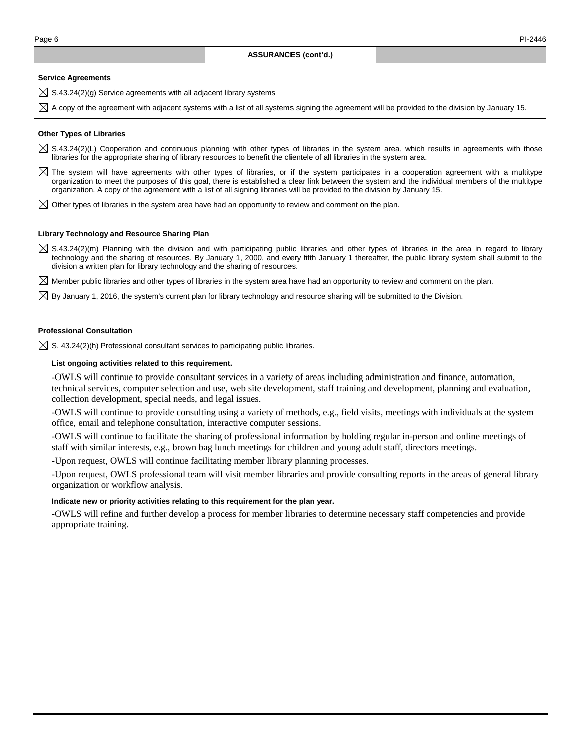#### **Service Agreements**

- $\boxtimes$  S.43.24(2)(g) Service agreements with all adjacent library systems
- $\boxtimes$  A copy of the agreement with adjacent systems with a list of all systems signing the agreement will be provided to the division by January 15.

#### **Other Types of Libraries**

- $\boxtimes$  S.43.24(2)(L) Cooperation and continuous planning with other types of libraries in the system area, which results in agreements with those libraries for the appropriate sharing of library resources to benefit the clientele of all libraries in the system area.
- $\boxtimes$  The system will have agreements with other types of libraries, or if the system participates in a cooperation agreement with a multitype organization to meet the purposes of this goal, there is established a clear link between the system and the individual members of the multitype organization. A copy of the agreement with a list of all signing libraries will be provided to the division by January 15.
- $\boxtimes$  Other types of libraries in the system area have had an opportunity to review and comment on the plan.

#### **Library Technology and Resource Sharing Plan**

 $\boxtimes$  S.43.24(2)(m) Planning with the division and with participating public libraries and other types of libraries in the area in regard to library technology and the sharing of resources. By January 1, 2000, and every fifth January 1 thereafter, the public library system shall submit to the division a written plan for library technology and the sharing of resources.

 $\boxtimes$  Member public libraries and other types of libraries in the system area have had an opportunity to review and comment on the plan.

 $\boxtimes$  By January 1, 2016, the system's current plan for library technology and resource sharing will be submitted to the Division.

#### **Professional Consultation**

 $\boxtimes$  S. 43.24(2)(h) Professional consultant services to participating public libraries.

# **List ongoing activities related to this requirement.**

-OWLS will continue to provide consultant services in a variety of areas including administration and finance, automation, technical services, computer selection and use, web site development, staff training and development, planning and evaluation, collection development, special needs, and legal issues.

-OWLS will continue to provide consulting using a variety of methods, e.g., field visits, meetings with individuals at the system office, email and telephone consultation, interactive computer sessions.

-OWLS will continue to facilitate the sharing of professional information by holding regular in-person and online meetings of staff with similar interests, e.g., brown bag lunch meetings for children and young adult staff, directors meetings.

-Upon request, OWLS will continue facilitating member library planning processes.

-Upon request, OWLS professional team will visit member libraries and provide consulting reports in the areas of general library organization or workflow analysis.

#### **Indicate new or priority activities relating to this requirement for the plan year.**

-OWLS will refine and further develop a process for member libraries to determine necessary staff competencies and provide appropriate training.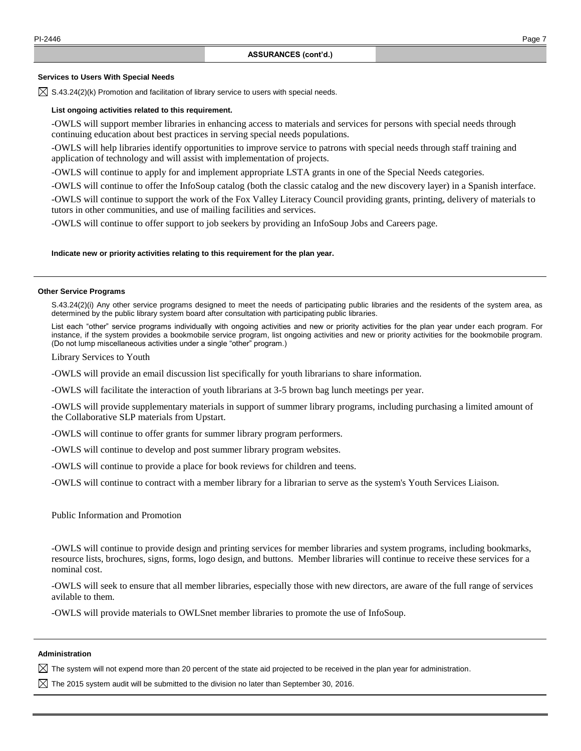#### **Services to Users With Special Needs**

 $\boxtimes$  S.43.24(2)(k) Promotion and facilitation of library service to users with special needs.

#### **List ongoing activities related to this requirement.**

-OWLS will support member libraries in enhancing access to materials and services for persons with special needs through continuing education about best practices in serving special needs populations.

-OWLS will help libraries identify opportunities to improve service to patrons with special needs through staff training and application of technology and will assist with implementation of projects.

-OWLS will continue to apply for and implement appropriate LSTA grants in one of the Special Needs categories.

-OWLS will continue to offer the InfoSoup catalog (both the classic catalog and the new discovery layer) in a Spanish interface.

-OWLS will continue to support the work of the Fox Valley Literacy Council providing grants, printing, delivery of materials to tutors in other communities, and use of mailing facilities and services.

-OWLS will continue to offer support to job seekers by providing an InfoSoup Jobs and Careers page.

#### **Indicate new or priority activities relating to this requirement for the plan year.**

#### **Other Service Programs**

S.43.24(2)(i) Any other service programs designed to meet the needs of participating public libraries and the residents of the system area, as determined by the public library system board after consultation with participating public libraries.

List each "other" service programs individually with ongoing activities and new or priority activities for the plan year under each program. For instance, if the system provides a bookmobile service program, list ongoing activities and new or priority activities for the bookmobile program. (Do not lump miscellaneous activities under a single "other" program.)

Library Services to Youth

-OWLS will provide an email discussion list specifically for youth librarians to share information.

-OWLS will facilitate the interaction of youth librarians at 3-5 brown bag lunch meetings per year.

-OWLS will provide supplementary materials in support of summer library programs, including purchasing a limited amount of the Collaborative SLP materials from Upstart.

-OWLS will continue to offer grants for summer library program performers.

-OWLS will continue to develop and post summer library program websites.

-OWLS will continue to provide a place for book reviews for children and teens.

-OWLS will continue to contract with a member library for a librarian to serve as the system's Youth Services Liaison.

Public Information and Promotion

-OWLS will continue to provide design and printing services for member libraries and system programs, including bookmarks, resource lists, brochures, signs, forms, logo design, and buttons. Member libraries will continue to receive these services for a nominal cost.

-OWLS will seek to ensure that all member libraries, especially those with new directors, are aware of the full range of services avilable to them.

-OWLS will provide materials to OWLSnet member libraries to promote the use of InfoSoup.

#### **Administration**

 $\boxtimes$  The system will not expend more than 20 percent of the state aid projected to be received in the plan year for administration.

 $\boxtimes$  The 2015 system audit will be submitted to the division no later than September 30, 2016.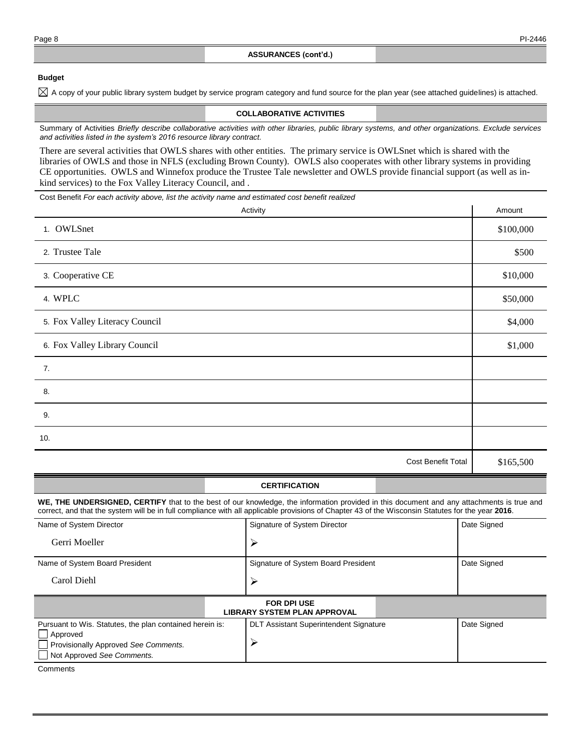# **Budget**

 $\boxtimes$  A copy of your public library system budget by service program category and fund source for the plan year (see attached guidelines) is attached.

#### **COLLABORATIVE ACTIVITIES**

Summary of Activities *Briefly describe collaborative activities with other libraries, public library systems, and other organizations. Exclude services and activities listed in the system's 2016 resource library contract.*

There are several activities that OWLS shares with other entities. The primary service is OWLSnet which is shared with the libraries of OWLS and those in NFLS (excluding Brown County). OWLS also cooperates with other library systems in providing CE opportunities. OWLS and Winnefox produce the Trustee Tale newsletter and OWLS provide financial support (as well as inkind services) to the Fox Valley Literacy Council, and .

Cost Benefit *For each activity above, list the activity name and estimated cost benefit realized*

| Activity                       | Amount    |
|--------------------------------|-----------|
| 1. OWLSnet                     | \$100,000 |
| 2. Trustee Tale                | \$500     |
| 3. Cooperative CE              | \$10,000  |
| 4. WPLC                        | \$50,000  |
| 5. Fox Valley Literacy Council | \$4,000   |
| 6. Fox Valley Library Council  | \$1,000   |
| 7.                             |           |
| 8.                             |           |
| 9.                             |           |
| 10.                            |           |
| Cost Benefit Total             | \$165,500 |

# **CERTIFICATION**

**WE, THE UNDERSIGNED, CERTIFY** that to the best of our knowledge, the information provided in this document and any attachments is true and correct, and that the system will be in full compliance with all applicable provisions of Chapter 43 of the Wisconsin Statutes for the year **2016**.

| Name of System Director                                   | Signature of System Director                  | Date Signed |  |
|-----------------------------------------------------------|-----------------------------------------------|-------------|--|
| Gerri Moeller                                             |                                               |             |  |
| Name of System Board President                            | Signature of System Board President           | Date Signed |  |
| Carol Diehl                                               |                                               |             |  |
| <b>FOR DPI USE</b><br><b>LIBRARY SYSTEM PLAN APPROVAL</b> |                                               |             |  |
| Pursuant to Wis. Statutes, the plan contained herein is:  | <b>DLT Assistant Superintendent Signature</b> | Date Signed |  |

|                                      | $     -$ |
|--------------------------------------|----------|
| $\Box$ Approved                      |          |
| Provisionally Approved See Comments. |          |
| □ Not Approved See Comments.         |          |
|                                      |          |

**Comments**